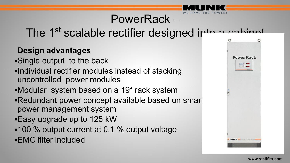# PowerRack –

## The 1<sup>st</sup> scalable rectifier designed into a cabinet

#### **Design advantages**

- ▪Single output to the back
- ▪Individual rectifier modules instead of stacking uncontrolled power modules
- ▪Modular system based on a 19" rack system
- ▪Redundant power concept available based on smart power management system
- **Easy upgrade up to 125 kW**
- ▪100 % output current at 0.1 % output voltage ▪EMC filter included

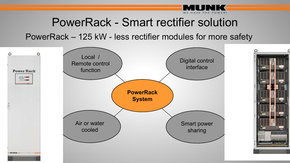

### PowerRack - Smart rectifier solution

PowerRack – 125 kW - less rectifier modules for more safety



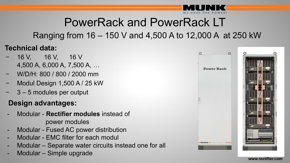

# PowerRack and PowerRack LT

### Ranging from 16 – 150 V and 4,500 A to 12,000 A at 250 kW

#### **Technical data:**

- − 16 V, 16 V, 16 V 4,500 A, 6,000 A, 7,500 A, …
- − W/D/H: 800 / 800 / 2000 mm
- − Modul Design 1,500 A / 25 kW
- − 3 5 modules per output

#### **Design advantages:**

- Modular **Rectifier modules** instead of power modules
- Modular Fused AC power distribution
- Modular EMC filter for each modul
- Modular Separate water circuits instead one for all
- Modular Simple upgrade





**www.rectifier.com**